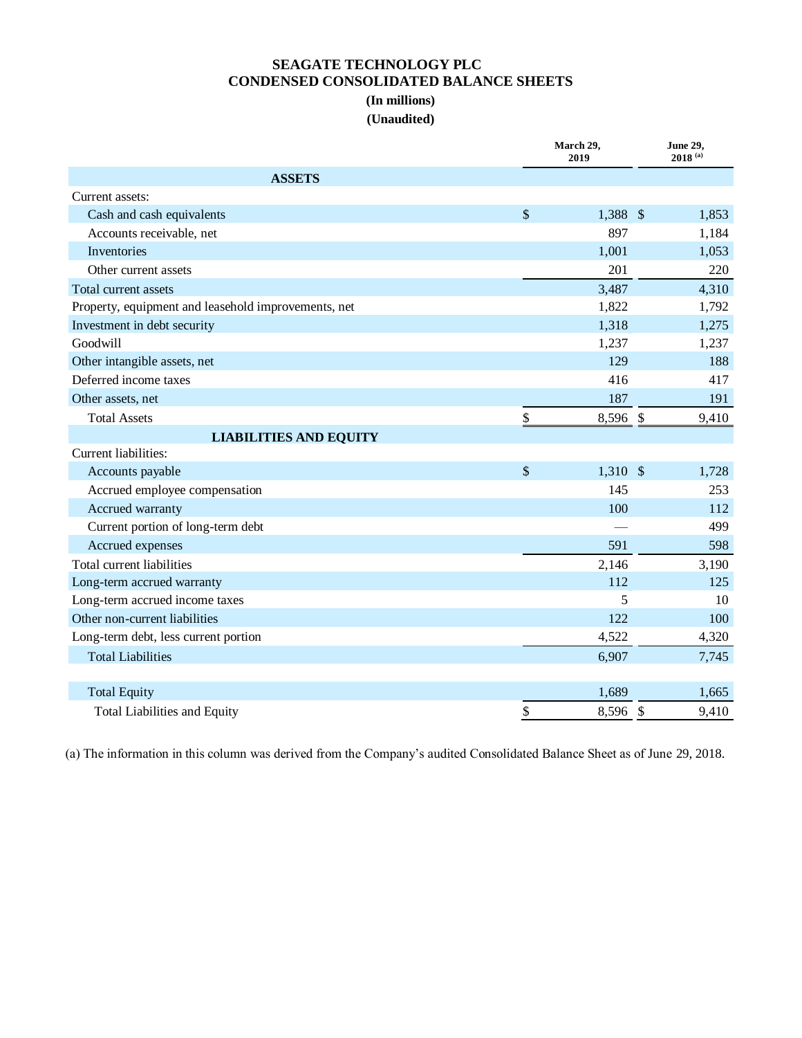## **SEAGATE TECHNOLOGY PLC CONDENSED CONSOLIDATED BALANCE SHEETS**

## **(In millions) (Unaudited)**

|                                                     |               | March 29,<br>2019 | <b>June 29,</b><br>$2018^{(a)}$ |
|-----------------------------------------------------|---------------|-------------------|---------------------------------|
| <b>ASSETS</b>                                       |               |                   |                                 |
| Current assets:                                     |               |                   |                                 |
| Cash and cash equivalents                           | \$            | 1,388 \$          | 1,853                           |
| Accounts receivable, net                            |               | 897               | 1,184                           |
| Inventories                                         |               | 1,001             | 1,053                           |
| Other current assets                                |               | 201               | 220                             |
| Total current assets                                |               | 3,487             | 4,310                           |
| Property, equipment and leasehold improvements, net |               | 1,822             | 1,792                           |
| Investment in debt security                         |               | 1,318             | 1,275                           |
| Goodwill                                            |               | 1,237             | 1,237                           |
| Other intangible assets, net                        |               | 129               | 188                             |
| Deferred income taxes                               |               | 416               | 417                             |
| Other assets, net                                   |               | 187               | 191                             |
| <b>Total Assets</b>                                 | \$            | 8,596 \$          | 9,410                           |
| <b>LIABILITIES AND EQUITY</b>                       |               |                   |                                 |
| Current liabilities:                                |               |                   |                                 |
| Accounts payable                                    | $\mathcal{S}$ | 1,310 \$          | 1,728                           |
| Accrued employee compensation                       |               | 145               | 253                             |
| Accrued warranty                                    |               | 100               | 112                             |
| Current portion of long-term debt                   |               |                   | 499                             |
| Accrued expenses                                    |               | 591               | 598                             |
| Total current liabilities                           |               | 2,146             | 3,190                           |
| Long-term accrued warranty                          |               | 112               | 125                             |
| Long-term accrued income taxes                      |               | 5                 | 10                              |
| Other non-current liabilities                       |               | 122               | 100                             |
| Long-term debt, less current portion                |               | 4,522             | 4,320                           |
| <b>Total Liabilities</b>                            |               | 6,907             | 7,745                           |
| <b>Total Equity</b>                                 |               | 1,689             | 1,665                           |
| <b>Total Liabilities and Equity</b>                 | \$            | 8,596 \$          | 9,410                           |

(a) The information in this column was derived from the Company's audited Consolidated Balance Sheet as of June 29, 2018.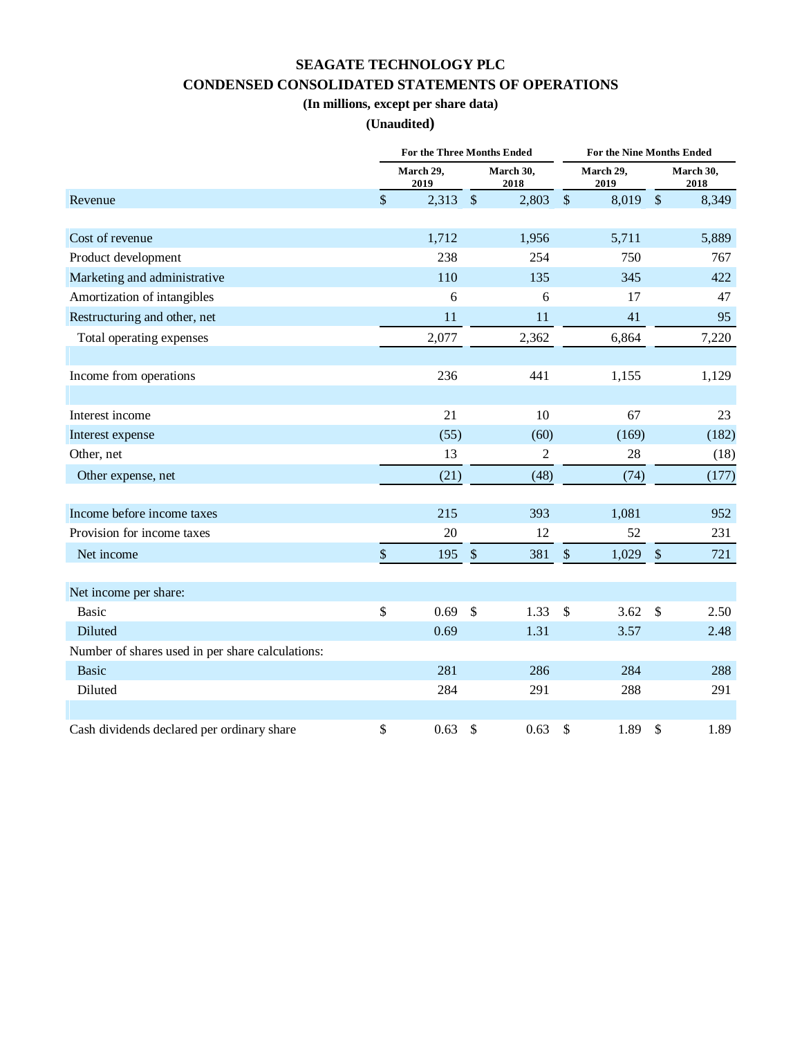## **SEAGATE TECHNOLOGY PLC CONDENSED CONSOLIDATED STATEMENTS OF OPERATIONS**

# **(In millions, except per share data)**

## **(Unaudited)**

|                                                  | <b>For the Three Months Ended</b> |                   |                      |                   | For the Nine Months Ended |                   |                           |                   |  |  |
|--------------------------------------------------|-----------------------------------|-------------------|----------------------|-------------------|---------------------------|-------------------|---------------------------|-------------------|--|--|
|                                                  |                                   | March 29,<br>2019 |                      | March 30,<br>2018 |                           | March 29,<br>2019 |                           | March 30,<br>2018 |  |  |
| Revenue                                          | $\mathbb{S}$                      | 2,313             | $\sqrt{\frac{2}{5}}$ | 2,803             | $\boldsymbol{\mathsf{S}}$ | 8,019             | $\sqrt$                   | 8,349             |  |  |
|                                                  |                                   |                   |                      |                   |                           |                   |                           |                   |  |  |
| Cost of revenue                                  |                                   | 1,712             |                      | 1,956             |                           | 5,711             |                           | 5,889             |  |  |
| Product development                              |                                   | 238               |                      | 254               |                           | 750               |                           | 767               |  |  |
| Marketing and administrative                     |                                   | 110               |                      | 135               |                           | 345               |                           | 422               |  |  |
| Amortization of intangibles                      |                                   | 6                 |                      | 6                 |                           | 17                |                           | 47                |  |  |
| Restructuring and other, net                     |                                   | 11                |                      | 11                |                           | 41                |                           | 95                |  |  |
| Total operating expenses                         |                                   | 2,077             |                      | 2,362             |                           | 6,864             |                           | 7,220             |  |  |
|                                                  |                                   |                   |                      |                   |                           |                   |                           |                   |  |  |
| Income from operations                           |                                   | 236               |                      | 441               |                           | 1,155             |                           | 1,129             |  |  |
|                                                  |                                   |                   |                      |                   |                           |                   |                           |                   |  |  |
| Interest income                                  |                                   | 21                |                      | 10                |                           | 67                |                           | 23                |  |  |
| Interest expense                                 |                                   | (55)              |                      | (60)              |                           | (169)             |                           | (182)             |  |  |
| Other, net                                       |                                   | 13                |                      | 2                 |                           | 28                |                           | (18)              |  |  |
| Other expense, net                               |                                   | (21)              |                      | (48)              |                           | (74)              |                           | (177)             |  |  |
| Income before income taxes                       |                                   | 215               |                      | 393               |                           | 1,081             |                           | 952               |  |  |
| Provision for income taxes                       |                                   | 20                |                      | 12                |                           | 52                |                           | 231               |  |  |
| Net income                                       | $\frac{1}{2}$                     | 195               | $\sqrt$              | 381               | $\boldsymbol{\mathsf{S}}$ | 1,029             | $\boldsymbol{\mathsf{S}}$ | 721               |  |  |
|                                                  |                                   |                   |                      |                   |                           |                   |                           |                   |  |  |
| Net income per share:                            |                                   |                   |                      |                   |                           |                   |                           |                   |  |  |
| <b>Basic</b>                                     | \$                                | 0.69              | $\mathcal{S}$        | 1.33              | \$                        | 3.62              | $\boldsymbol{\mathsf{S}}$ | 2.50              |  |  |
| Diluted                                          |                                   | 0.69              |                      | 1.31              |                           | 3.57              |                           | 2.48              |  |  |
| Number of shares used in per share calculations: |                                   |                   |                      |                   |                           |                   |                           |                   |  |  |
| <b>Basic</b>                                     |                                   | 281               |                      | 286               |                           | 284               |                           | 288               |  |  |
| Diluted                                          |                                   | 284               |                      | 291               |                           | 288               |                           | 291               |  |  |
|                                                  |                                   |                   |                      |                   |                           |                   |                           |                   |  |  |
| Cash dividends declared per ordinary share       | \$                                | 0.63              | \$                   | 0.63              | \$                        | 1.89              | \$                        | 1.89              |  |  |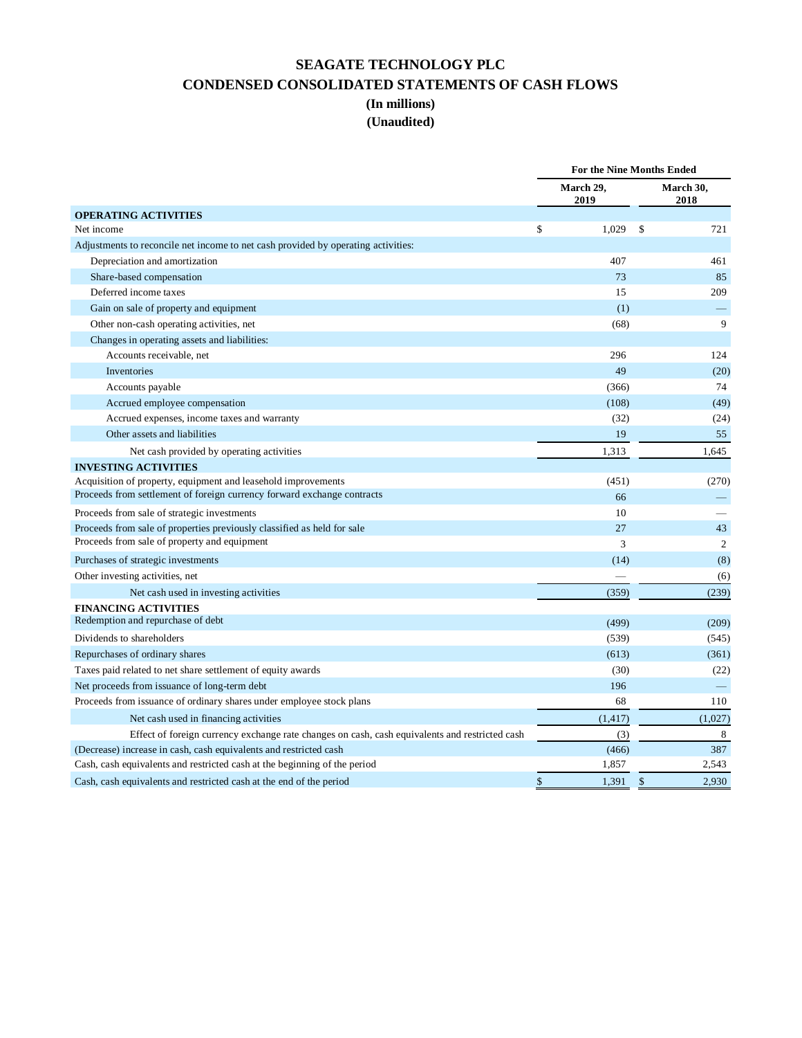# **SEAGATE TECHNOLOGY PLC CONDENSED CONSOLIDATED STATEMENTS OF CASH FLOWS**

# **(In millions)**

# **(Unaudited)**

|                                                                                                | <b>For the Nine Months Ended</b> |          |    |                   |  |
|------------------------------------------------------------------------------------------------|----------------------------------|----------|----|-------------------|--|
|                                                                                                | March 29,<br>2019                |          |    | March 30,<br>2018 |  |
| <b>OPERATING ACTIVITIES</b>                                                                    |                                  |          |    |                   |  |
| Net income                                                                                     | \$                               | 1,029    | \$ | 721               |  |
| Adjustments to reconcile net income to net cash provided by operating activities:              |                                  |          |    |                   |  |
| Depreciation and amortization                                                                  |                                  | 407      |    | 461               |  |
| Share-based compensation                                                                       |                                  | 73       |    | 85                |  |
| Deferred income taxes                                                                          |                                  | 15       |    | 209               |  |
| Gain on sale of property and equipment                                                         |                                  | (1)      |    |                   |  |
| Other non-cash operating activities, net                                                       |                                  | (68)     |    | 9                 |  |
| Changes in operating assets and liabilities:                                                   |                                  |          |    |                   |  |
| Accounts receivable, net                                                                       |                                  | 296      |    | 124               |  |
| Inventories                                                                                    |                                  | 49       |    | (20)              |  |
| Accounts payable                                                                               |                                  | (366)    |    | 74                |  |
| Accrued employee compensation                                                                  |                                  | (108)    |    | (49)              |  |
| Accrued expenses, income taxes and warranty                                                    |                                  | (32)     |    | (24)              |  |
| Other assets and liabilities                                                                   |                                  | 19       |    | 55                |  |
| Net cash provided by operating activities                                                      |                                  | 1,313    |    | 1,645             |  |
| <b>INVESTING ACTIVITIES</b>                                                                    |                                  |          |    |                   |  |
| Acquisition of property, equipment and leasehold improvements                                  |                                  | (451)    |    | (270)             |  |
| Proceeds from settlement of foreign currency forward exchange contracts                        |                                  | 66       |    |                   |  |
| Proceeds from sale of strategic investments                                                    |                                  | 10       |    |                   |  |
| Proceeds from sale of properties previously classified as held for sale                        |                                  | 27       |    | 43                |  |
| Proceeds from sale of property and equipment                                                   |                                  | 3        |    | $\overline{c}$    |  |
| Purchases of strategic investments                                                             |                                  | (14)     |    | (8)               |  |
| Other investing activities, net                                                                |                                  |          |    | (6)               |  |
| Net cash used in investing activities                                                          |                                  | (359)    |    | (239)             |  |
| <b>FINANCING ACTIVITIES</b>                                                                    |                                  |          |    |                   |  |
| Redemption and repurchase of debt                                                              |                                  | (499)    |    | (209)             |  |
| Dividends to shareholders                                                                      |                                  | (539)    |    | (545)             |  |
| Repurchases of ordinary shares                                                                 |                                  | (613)    |    | (361)             |  |
| Taxes paid related to net share settlement of equity awards                                    |                                  | (30)     |    | (22)              |  |
| Net proceeds from issuance of long-term debt                                                   |                                  | 196      |    |                   |  |
| Proceeds from issuance of ordinary shares under employee stock plans                           |                                  | 68       |    | 110               |  |
| Net cash used in financing activities                                                          |                                  | (1, 417) |    | (1.027)           |  |
| Effect of foreign currency exchange rate changes on cash, cash equivalents and restricted cash |                                  | (3)      |    | $\,8\,$           |  |
| (Decrease) increase in cash, cash equivalents and restricted cash                              |                                  | (466)    |    | 387               |  |
| Cash, cash equivalents and restricted cash at the beginning of the period                      |                                  | 1,857    |    | 2.543             |  |
| Cash, cash equivalents and restricted cash at the end of the period                            | \$                               | 1,391    | \$ | 2.930             |  |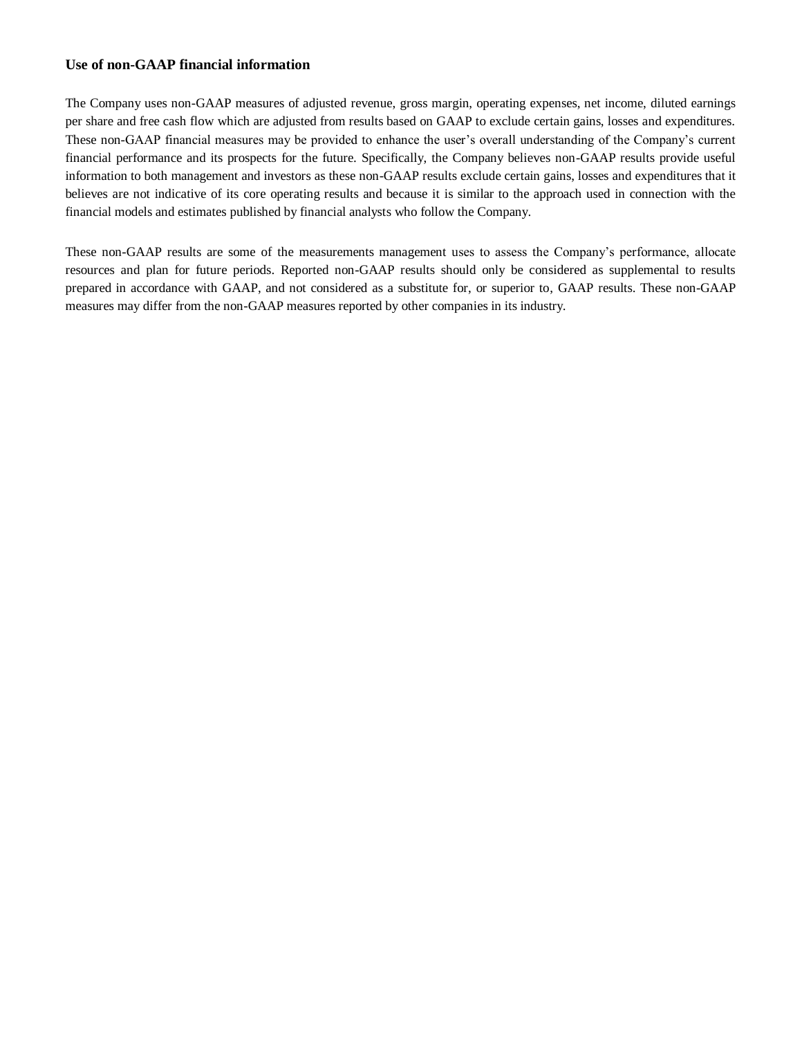## **Use of non-GAAP financial information**

The Company uses non-GAAP measures of adjusted revenue, gross margin, operating expenses, net income, diluted earnings per share and free cash flow which are adjusted from results based on GAAP to exclude certain gains, losses and expenditures. These non-GAAP financial measures may be provided to enhance the user's overall understanding of the Company's current financial performance and its prospects for the future. Specifically, the Company believes non-GAAP results provide useful information to both management and investors as these non-GAAP results exclude certain gains, losses and expenditures that it believes are not indicative of its core operating results and because it is similar to the approach used in connection with the financial models and estimates published by financial analysts who follow the Company.

These non-GAAP results are some of the measurements management uses to assess the Company's performance, allocate resources and plan for future periods. Reported non-GAAP results should only be considered as supplemental to results prepared in accordance with GAAP, and not considered as a substitute for, or superior to, GAAP results. These non-GAAP measures may differ from the non-GAAP measures reported by other companies in its industry.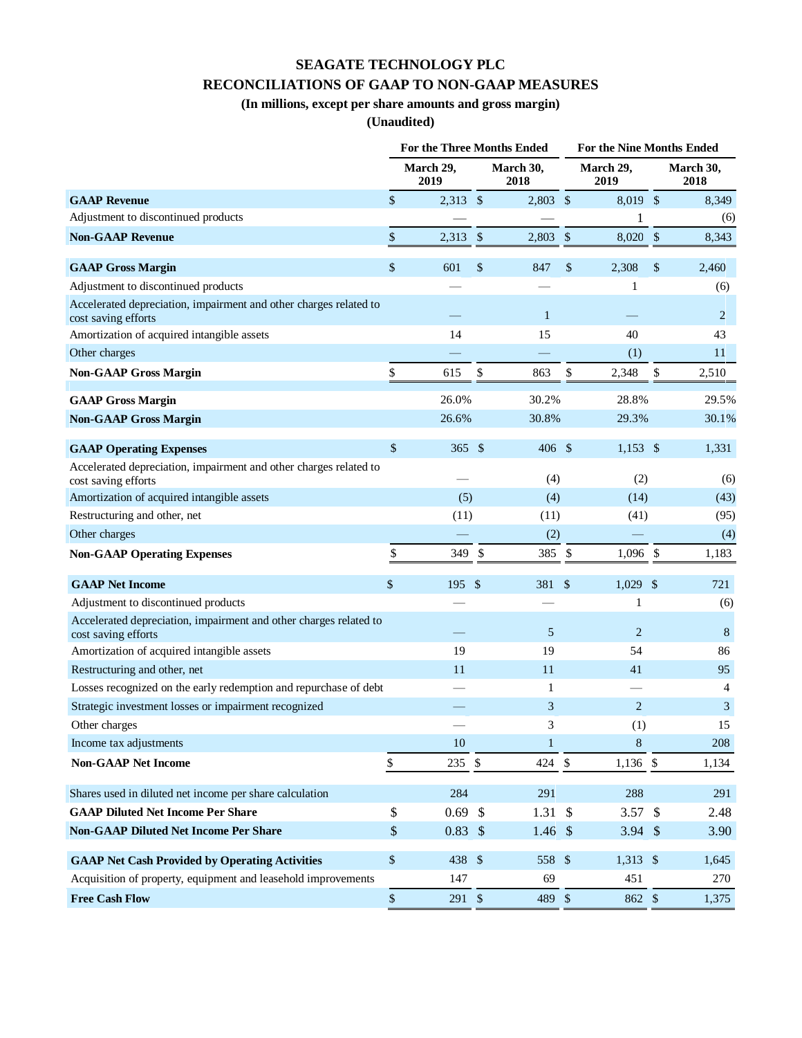## **SEAGATE TECHNOLOGY PLC RECONCILIATIONS OF GAAP TO NON-GAAP MEASURES**

## **(In millions, except per share amounts and gross margin)**

### **(Unaudited)**

|                                                                                          |        | <b>For the Three Months Ended</b> |    |                    | <b>For the Nine Months Ended</b> |                   |      |                   |
|------------------------------------------------------------------------------------------|--------|-----------------------------------|----|--------------------|----------------------------------|-------------------|------|-------------------|
|                                                                                          |        | March 29,<br>2019                 |    | March 30,<br>2018  |                                  | March 29,<br>2019 |      | March 30,<br>2018 |
| <b>GAAP Revenue</b>                                                                      | \$     | 2,313 \$                          |    | $2,803$ \$         |                                  | 8,019 \$          |      | 8,349             |
| Adjustment to discontinued products                                                      |        |                                   |    |                    |                                  |                   |      | (6)               |
| <b>Non-GAAP Revenue</b>                                                                  | \$     | $2,313$ \$                        |    | $2,803$ \$         |                                  | 8,020 \$          |      | 8,343             |
| <b>GAAP Gross Margin</b>                                                                 | \$     | 601                               | \$ | 847                | $\$$                             | 2,308             | \$   | 2,460             |
| Adjustment to discontinued products                                                      |        |                                   |    |                    |                                  | 1                 |      | (6)               |
| Accelerated depreciation, impairment and other charges related to<br>cost saving efforts |        |                                   |    | $\mathbf{1}$       |                                  |                   |      | $\overline{c}$    |
| Amortization of acquired intangible assets                                               |        | 14                                |    | 15                 |                                  | 40                |      | 43                |
| Other charges                                                                            |        |                                   |    |                    |                                  | (1)               |      | 11                |
| <b>Non-GAAP Gross Margin</b>                                                             | \$     | 615                               | \$ | 863                | \$                               | 2,348             | $\$$ | 2,510             |
| <b>GAAP Gross Margin</b>                                                                 |        | 26.0%                             |    | 30.2%              |                                  | 28.8%             |      | 29.5%             |
| <b>Non-GAAP Gross Margin</b>                                                             |        | 26.6%                             |    | 30.8%              |                                  | 29.3%             |      | 30.1%             |
| <b>GAAP Operating Expenses</b>                                                           | \$     | 365S                              |    | $406 \text{ }$ \$  |                                  | $1,153$ \$        |      | 1,331             |
| Accelerated depreciation, impairment and other charges related to<br>cost saving efforts |        |                                   |    | (4)                |                                  | (2)               |      | (6)               |
| Amortization of acquired intangible assets                                               |        | (5)                               |    | (4)                |                                  | (14)              |      | (43)              |
| Restructuring and other, net                                                             |        | (11)                              |    | (11)               |                                  | (41)              |      | (95)              |
| Other charges                                                                            |        |                                   |    | (2)                |                                  |                   |      | (4)               |
| <b>Non-GAAP Operating Expenses</b>                                                       | \$     | 349 \$                            |    | 385 \$             |                                  | $1,096$ \$        |      | 1,183             |
| <b>GAAP Net Income</b>                                                                   | \$     | 195 \$                            |    | 381 \$             |                                  | $1,029$ \$        |      | 721               |
| Adjustment to discontinued products                                                      |        |                                   |    |                    |                                  |                   |      | (6)               |
| Accelerated depreciation, impairment and other charges related to<br>cost saving efforts |        |                                   |    | 5                  |                                  | $\overline{2}$    |      | 8                 |
| Amortization of acquired intangible assets                                               |        | 19                                |    | 19                 |                                  | 54                |      | 86                |
| Restructuring and other, net                                                             |        | 11                                |    | 11                 |                                  | 41                |      | 95                |
| Losses recognized on the early redemption and repurchase of debt                         |        |                                   |    | 1                  |                                  |                   |      | 4                 |
| Strategic investment losses or impairment recognized                                     |        |                                   |    | 3                  |                                  | $\overline{2}$    |      | $\mathfrak{Z}$    |
| Other charges                                                                            |        |                                   |    | 3                  |                                  | (1)               |      | 15                |
| Income tax adjustments                                                                   |        | 10                                |    | $\mathbf{1}$       |                                  | $\,8\,$           |      | 208               |
| <b>Non-GAAP Net Income</b>                                                               | \$     | 235 \$                            |    | 424 \$             |                                  | 1,136 \$          |      | 1,134             |
| Shares used in diluted net income per share calculation                                  |        | 284                               |    | 291                |                                  | 288               |      | 291               |
| <b>GAAP Diluted Net Income Per Share</b>                                                 | \$     | $0.69$ \$                         |    | $1.31 \; \text{S}$ |                                  | 3.57 $$$          |      | 2.48              |
| <b>Non-GAAP Diluted Net Income Per Share</b>                                             | $\$\,$ | $0.83$ \$                         |    | $1.46$ \$          |                                  | $3.94$ \$         |      | 3.90              |
| <b>GAAP Net Cash Provided by Operating Activities</b>                                    | \$     | 438 \$                            |    | 558 \$             |                                  | 1,313 \$          |      | 1,645             |
| Acquisition of property, equipment and leasehold improvements                            |        | 147                               |    | 69                 |                                  | 451               |      | 270               |
| <b>Free Cash Flow</b>                                                                    | \$     | 291 \$                            |    | 489 \$             |                                  | 862 \$            |      | 1,375             |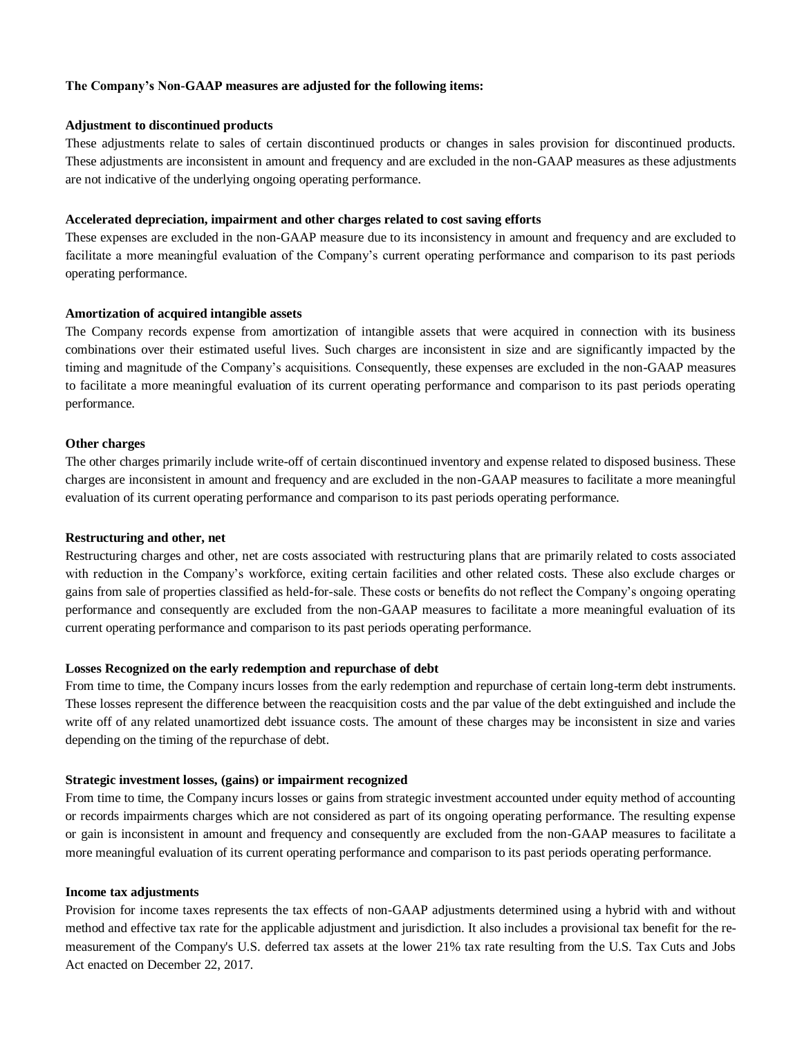#### **The Company's Non-GAAP measures are adjusted for the following items:**

#### **Adjustment to discontinued products**

These adjustments relate to sales of certain discontinued products or changes in sales provision for discontinued products. These adjustments are inconsistent in amount and frequency and are excluded in the non-GAAP measures as these adjustments are not indicative of the underlying ongoing operating performance.

#### **Accelerated depreciation, impairment and other charges related to cost saving efforts**

These expenses are excluded in the non-GAAP measure due to its inconsistency in amount and frequency and are excluded to facilitate a more meaningful evaluation of the Company's current operating performance and comparison to its past periods operating performance.

#### **Amortization of acquired intangible assets**

The Company records expense from amortization of intangible assets that were acquired in connection with its business combinations over their estimated useful lives. Such charges are inconsistent in size and are significantly impacted by the timing and magnitude of the Company's acquisitions. Consequently, these expenses are excluded in the non-GAAP measures to facilitate a more meaningful evaluation of its current operating performance and comparison to its past periods operating performance.

#### **Other charges**

The other charges primarily include write-off of certain discontinued inventory and expense related to disposed business. These charges are inconsistent in amount and frequency and are excluded in the non-GAAP measures to facilitate a more meaningful evaluation of its current operating performance and comparison to its past periods operating performance.

#### **Restructuring and other, net**

Restructuring charges and other, net are costs associated with restructuring plans that are primarily related to costs associated with reduction in the Company's workforce, exiting certain facilities and other related costs. These also exclude charges or gains from sale of properties classified as held-for-sale. These costs or benefits do not reflect the Company's ongoing operating performance and consequently are excluded from the non-GAAP measures to facilitate a more meaningful evaluation of its current operating performance and comparison to its past periods operating performance.

#### **Losses Recognized on the early redemption and repurchase of debt**

From time to time, the Company incurs losses from the early redemption and repurchase of certain long-term debt instruments. These losses represent the difference between the reacquisition costs and the par value of the debt extinguished and include the write off of any related unamortized debt issuance costs. The amount of these charges may be inconsistent in size and varies depending on the timing of the repurchase of debt.

#### **Strategic investment losses, (gains) or impairment recognized**

From time to time, the Company incurs losses or gains from strategic investment accounted under equity method of accounting or records impairments charges which are not considered as part of its ongoing operating performance. The resulting expense or gain is inconsistent in amount and frequency and consequently are excluded from the non-GAAP measures to facilitate a more meaningful evaluation of its current operating performance and comparison to its past periods operating performance.

#### **Income tax adjustments**

Provision for income taxes represents the tax effects of non-GAAP adjustments determined using a hybrid with and without method and effective tax rate for the applicable adjustment and jurisdiction. It also includes a provisional tax benefit for the remeasurement of the Company's U.S. deferred tax assets at the lower 21% tax rate resulting from the U.S. Tax Cuts and Jobs Act enacted on December 22, 2017.